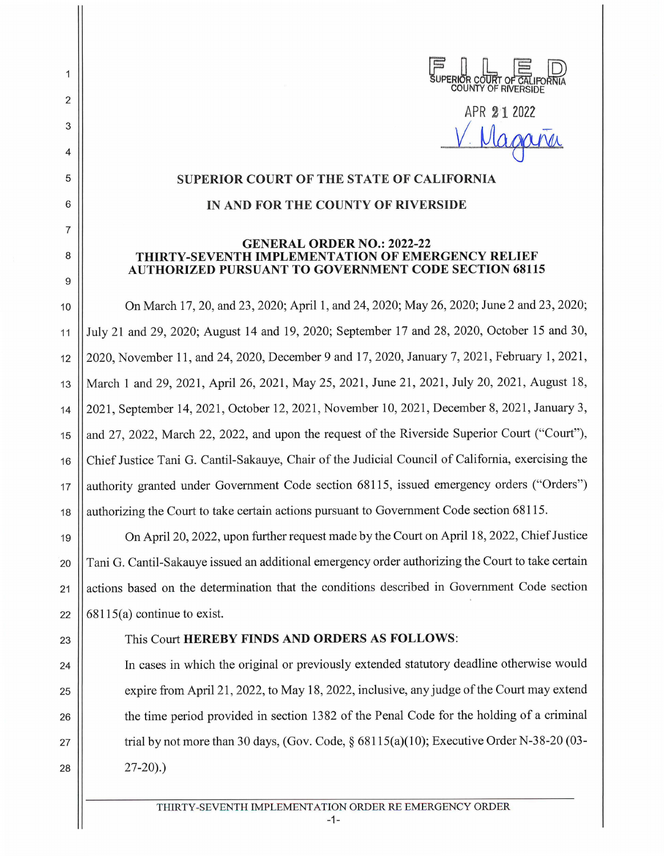| JUPERIOR COURT OF CALIFORNIA | COLINTY OF | RIVERSIDE |  |
|------------------------------|------------|-----------|--|

APR **2'1** 2022

 $V$ . Magaria

## **SUPERIOR COURT OF THE STATE OF CALIFORNIA**

## **IN AND FOR THE COUNTY OF RIVERSIDE**

## **GENERAL ORDER NO.: 2022-22 THIRTY-SEVENTH IMPLEMENTATION OF EMERGENCY RELIEF AUTHORIZED PURSUANT TO GOVERNMENT CODE SECTION 68115**

10 On March 17, 20, and 23, 2020; April 1, and 24, 2020; May 26, 2020; June 2 and 23, 2020; 11 July 21 and 29, 2020; August 14 and 19, 2020; September 17 and 28, 2020, October 15 and 30, 12 2020, November 11, and 24, 2020, December 9 and 17, 2020, January 7, 2021 , February 1, 2021, 13 || March 1 and 29, 2021, April 26, 2021, May 25, 2021, June 21, 2021, July 20, 2021, August 18, 14 2021, September 14, 2021, October 12, 2021 , November 10, 2021, December 8, 2021, January 3, 15 | and 27, 2022, March 22, 2022, and upon the request of the Riverside Superior Court ("Court"), 16 | Chief Justice Tani G. Cantil-Sakauye, Chair of the Judicial Council of California, exercising the 17 || authority granted under Government Code section 68115, issued emergency orders ("Orders") 18 || authorizing the Court to take certain actions pursuant to Government Code section 68115.

19 On April 20, 2022, upon further request made by the Court on April 18, 2022, Chief Justice 20 Tani G. Cantil-Sakauye issued an additional emergency order authorizing the Court to take certain 21 | actions based on the determination that the conditions described in Government Code section 22  $\vert$  68115(a) continue to exist.

2

1

3

4

5

6

7

8

9

## 23 This Court **HEREBY FINDS AND ORDERS AS FOLLOWS:**

24 In cases in which the original or previously extended statutory deadline otherwise would 25  $\vert$  expire from April 21, 2022, to May 18, 2022, inclusive, any judge of the Court may extend 26 the time period provided in section 1382 of the Penal Code for the holding of a criminal 27  $\vert$  trial by not more than 30 days, (Gov. Code, § 68115(a)(10); Executive Order N-38-20 (03- $28$  |  $27-20$ ).)